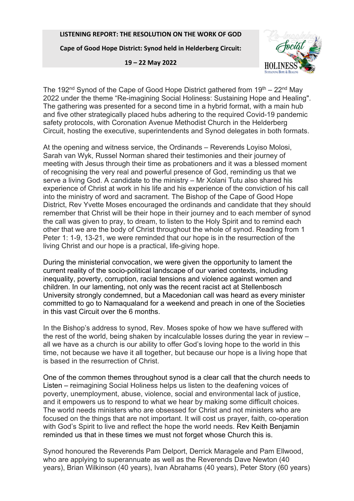## **LISTENING REPORT: THE RESOLUTION ON THE WORK OF GOD**

**Cape of Good Hope District: Synod held in Helderberg Circuit:** 

**19 – 22 May 2022** 



The 192<sup>nd</sup> Synod of the Cape of Good Hope District gathered from  $19<sup>th</sup> - 22<sup>nd</sup>$  May 2022 under the theme "Re-imagining Social Holiness: Sustaining Hope and Healing". The gathering was presented for a second time in a hybrid format, with a main hub and five other strategically placed hubs adhering to the required Covid-19 pandemic safety protocols, with Coronation Avenue Methodist Church in the Helderberg Circuit, hosting the executive, superintendents and Synod delegates in both formats.

At the opening and witness service, the Ordinands – Reverends Loyiso Molosi, Sarah van Wyk, Russel Norman shared their testimonies and their journey of meeting with Jesus through their time as probationers and it was a blessed moment of recognising the very real and powerful presence of God, reminding us that we serve a living God. A candidate to the ministry – Mr Xolani Tutu also shared his experience of Christ at work in his life and his experience of the conviction of his call into the ministry of word and sacrament. The Bishop of the Cape of Good Hope District, Rev Yvette Moses encouraged the ordinands and candidate that they should remember that Christ will be their hope in their journey and to each member of synod the call was given to pray, to dream, to listen to the Holy Spirit and to remind each other that we are the body of Christ throughout the whole of synod. Reading from 1 Peter 1: 1-9, 13-21, we were reminded that our hope is in the resurrection of the living Christ and our hope is a practical, life-giving hope.

During the ministerial convocation, we were given the opportunity to lament the current reality of the socio-political landscape of our varied contexts, including inequality, poverty, corruption, racial tensions and violence against women and children. In our lamenting, not only was the recent racist act at Stellenbosch University strongly condemned, but a Macedonian call was heard as every minister committed to go to Namaqualand for a weekend and preach in one of the Societies in this vast Circuit over the 6 months.

In the Bishop's address to synod, Rev. Moses spoke of how we have suffered with the rest of the world, being shaken by incalculable losses during the year in review – all we have as a church is our ability to offer God's loving hope to the world in this time, not because we have it all together, but because our hope is a living hope that is based in the resurrection of Christ.

One of the common themes throughout synod is a clear call that the church needs to Listen – reimagining Social Holiness helps us listen to the deafening voices of poverty, unemployment, abuse, violence, social and environmental lack of justice, and it empowers us to respond to what we hear by making some difficult choices. The world needs ministers who are obsessed for Christ and not ministers who are focused on the things that are not important. It will cost us prayer, faith, co-operation with God's Spirit to live and reflect the hope the world needs. Rev Keith Benjamin reminded us that in these times we must not forget whose Church this is.

Synod honoured the Reverends Pam Delport, Derrick Maragele and Pam Ellwood, who are applying to superannuate as well as the Reverends Dave Newton (40 years), Brian Wilkinson (40 years), Ivan Abrahams (40 years), Peter Story (60 years)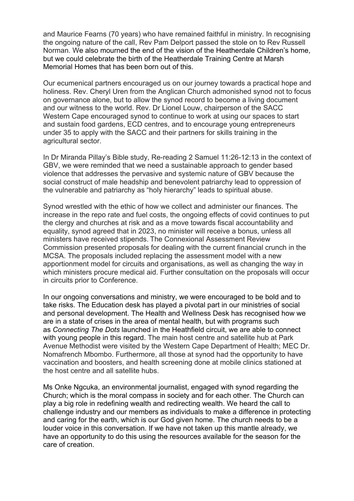and Maurice Fearns (70 years) who have remained faithful in ministry. In recognising the ongoing nature of the call, Rev Pam Delport passed the stole on to Rev Russell Norman. We also mourned the end of the vision of the Heatherdale Children's home, but we could celebrate the birth of the Heatherdale Training Centre at Marsh Memorial Homes that has been born out of this.

Our ecumenical partners encouraged us on our journey towards a practical hope and holiness. Rev. Cheryl Uren from the Anglican Church admonished synod not to focus on governance alone, but to allow the synod record to become a living document and our witness to the world. Rev. Dr Lionel Louw, chairperson of the SACC Western Cape encouraged synod to continue to work at using our spaces to start and sustain food gardens, ECD centres, and to encourage young entrepreneurs under 35 to apply with the SACC and their partners for skills training in the agricultural sector.

In Dr Miranda Pillay's Bible study, Re-reading 2 Samuel 11:26-12:13 in the context of GBV, we were reminded that we need a sustainable approach to gender based violence that addresses the pervasive and systemic nature of GBV because the social construct of male headship and benevolent patriarchy lead to oppression of the vulnerable and patriarchy as "holy hierarchy" leads to spiritual abuse.

Synod wrestled with the ethic of how we collect and administer our finances. The increase in the repo rate and fuel costs, the ongoing effects of covid continues to put the clergy and churches at risk and as a move towards fiscal accountability and equality, synod agreed that in 2023, no minister will receive a bonus, unless all ministers have received stipends. The Connexional Assessment Review Commission presented proposals for dealing with the current financial crunch in the MCSA. The proposals included replacing the assessment model with a new apportionment model for circuits and organisations, as well as changing the way in which ministers procure medical aid. Further consultation on the proposals will occur in circuits prior to Conference.

In our ongoing conversations and ministry, we were encouraged to be bold and to take risks. The Education desk has played a pivotal part in our ministries of social and personal development. The Health and Wellness Desk has recognised how we are in a state of crises in the area of mental health, but with programs such as *Connecting The Dots* launched in the Heathfield circuit, we are able to connect with young people in this regard. The main host centre and satellite hub at Park Avenue Methodist were visited by the Western Cape Department of Health; MEC Dr. Nomafrench Mbombo. Furthermore, all those at synod had the opportunity to have vaccination and boosters, and health screening done at mobile clinics stationed at the host centre and all satellite hubs.

Ms Onke Ngcuka, an environmental journalist, engaged with synod regarding the Church; which is the moral compass in society and for each other. The Church can play a big role in redefining wealth and redirecting wealth. We heard the call to challenge industry and our members as individuals to make a difference in protecting and caring for the earth, which is our God given home. The church needs to be a louder voice in this conversation. If we have not taken up this mantle already, we have an opportunity to do this using the resources available for the season for the care of creation.